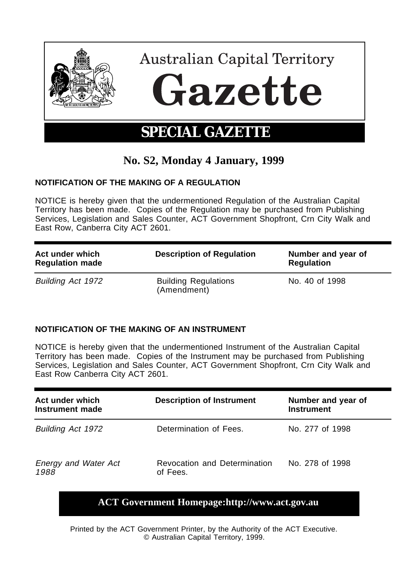

## **No. S2, Monday 4 January, 1999**

## **NOTIFICATION OF THE MAKING OF A REGULATION**

NOTICE is hereby given that the undermentioned Regulation of the Australian Capital Territory has been made. Copies of the Regulation may be purchased from Publishing Services, Legislation and Sales Counter, ACT Government Shopfront, Crn City Walk and East Row, Canberra City ACT 2601.

| Act under which<br><b>Regulation made</b> | <b>Description of Regulation</b>           | Number and year of<br><b>Regulation</b> |
|-------------------------------------------|--------------------------------------------|-----------------------------------------|
| <b>Building Act 1972</b>                  | <b>Building Regulations</b><br>(Amendment) | No. 40 of 1998                          |

## **NOTIFICATION OF THE MAKING OF AN INSTRUMENT**

NOTICE is hereby given that the undermentioned Instrument of the Australian Capital Territory has been made. Copies of the Instrument may be purchased from Publishing Services, Legislation and Sales Counter, ACT Government Shopfront, Crn City Walk and East Row Canberra City ACT 2601.

| Act under which<br>Instrument made  | <b>Description of Instrument</b>         | Number and year of<br><b>Instrument</b> |
|-------------------------------------|------------------------------------------|-----------------------------------------|
| Building Act 1972                   | Determination of Fees.                   | No. 277 of 1998                         |
| <b>Energy and Water Act</b><br>1988 | Revocation and Determination<br>of Fees. | No. 278 of 1998                         |

## **ACT Government Homepage:http://www.act.gov.au**

Printed by the ACT Government Printer, by the Authority of the ACT Executive. © Australian Capital Territory, 1999.